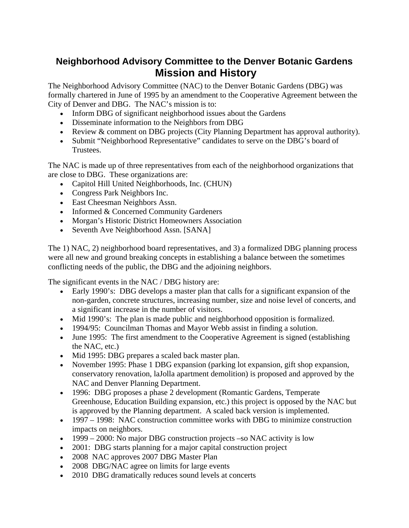## **Neighborhood Advisory Committee to the Denver Botanic Gardens Mission and History**

The Neighborhood Advisory Committee (NAC) to the Denver Botanic Gardens (DBG) was formally chartered in June of 1995 by an amendment to the Cooperative Agreement between the City of Denver and DBG. The NAC's mission is to:

- Inform DBG of significant neighborhood issues about the Gardens
- Disseminate information to the Neighbors from DBG
- Review & comment on DBG projects (City Planning Department has approval authority).
- Submit "Neighborhood Representative" candidates to serve on the DBG's board of Trustees.

The NAC is made up of three representatives from each of the neighborhood organizations that are close to DBG. These organizations are:

- Capitol Hill United Neighborhoods, Inc. (CHUN)
- Congress Park Neighbors Inc.
- East Cheesman Neighbors Assn.
- Informed & Concerned Community Gardeners
- Morgan's Historic District Homeowners Association
- Seventh Ave Neighborhood Assn. [SANA]

The 1) NAC, 2) neighborhood board representatives, and 3) a formalized DBG planning process were all new and ground breaking concepts in establishing a balance between the sometimes conflicting needs of the public, the DBG and the adjoining neighbors.

The significant events in the NAC / DBG history are:

- Early 1990's: DBG develops a master plan that calls for a significant expansion of the non-garden, concrete structures, increasing number, size and noise level of concerts, and a significant increase in the number of visitors.
- Mid 1990's: The plan is made public and neighborhood opposition is formalized.
- 1994/95: Councilman Thomas and Mayor Webb assist in finding a solution.
- June 1995: The first amendment to the Cooperative Agreement is signed (establishing the NAC, etc.)
- Mid 1995: DBG prepares a scaled back master plan.
- November 1995: Phase 1 DBG expansion (parking lot expansion, gift shop expansion, conservatory renovation, laJolla apartment demolition) is proposed and approved by the NAC and Denver Planning Department.
- 1996: DBG proposes a phase 2 development (Romantic Gardens, Temperate Greenhouse, Education Building expansion, etc.) this project is opposed by the NAC but is approved by the Planning department. A scaled back version is implemented.
- 1997 1998: NAC construction committee works with DBG to minimize construction impacts on neighbors.
- 1999 2000: No major DBG construction projects –so NAC activity is low
- 2001: DBG starts planning for a major capital construction project
- 2008 NAC approves 2007 DBG Master Plan
- 2008 DBG/NAC agree on limits for large events
- 2010 DBG dramatically reduces sound levels at concerts